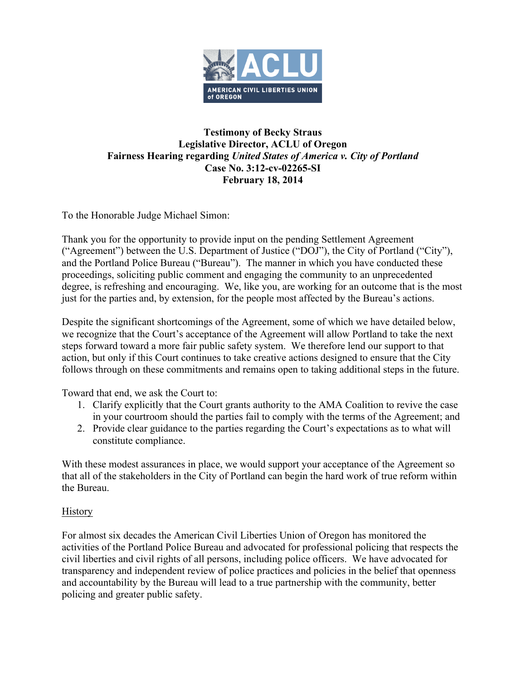

## **Testimony of Becky Straus Legislative Director, ACLU of Oregon Fairness Hearing regarding** *United States of America v. City of Portland* **Case No. 3:12-cv-02265-SI February 18, 2014**

To the Honorable Judge Michael Simon:

Thank you for the opportunity to provide input on the pending Settlement Agreement ("Agreement") between the U.S. Department of Justice ("DOJ"), the City of Portland ("City"), and the Portland Police Bureau ("Bureau"). The manner in which you have conducted these proceedings, soliciting public comment and engaging the community to an unprecedented degree, is refreshing and encouraging. We, like you, are working for an outcome that is the most just for the parties and, by extension, for the people most affected by the Bureau's actions.

Despite the significant shortcomings of the Agreement, some of which we have detailed below, we recognize that the Court's acceptance of the Agreement will allow Portland to take the next steps forward toward a more fair public safety system. We therefore lend our support to that action, but only if this Court continues to take creative actions designed to ensure that the City follows through on these commitments and remains open to taking additional steps in the future.

Toward that end, we ask the Court to:

- 1. Clarify explicitly that the Court grants authority to the AMA Coalition to revive the case in your courtroom should the parties fail to comply with the terms of the Agreement; and
- 2. Provide clear guidance to the parties regarding the Court's expectations as to what will constitute compliance.

With these modest assurances in place, we would support your acceptance of the Agreement so that all of the stakeholders in the City of Portland can begin the hard work of true reform within the Bureau.

## **History**

For almost six decades the American Civil Liberties Union of Oregon has monitored the activities of the Portland Police Bureau and advocated for professional policing that respects the civil liberties and civil rights of all persons, including police officers. We have advocated for transparency and independent review of police practices and policies in the belief that openness and accountability by the Bureau will lead to a true partnership with the community, better policing and greater public safety.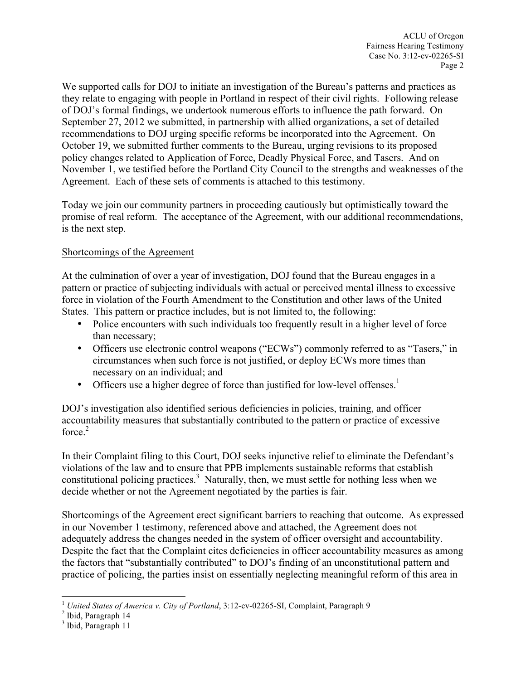We supported calls for DOJ to initiate an investigation of the Bureau's patterns and practices as they relate to engaging with people in Portland in respect of their civil rights. Following release of DOJ's formal findings, we undertook numerous efforts to influence the path forward. On September 27, 2012 we submitted, in partnership with allied organizations, a set of detailed recommendations to DOJ urging specific reforms be incorporated into the Agreement. On October 19, we submitted further comments to the Bureau, urging revisions to its proposed policy changes related to Application of Force, Deadly Physical Force, and Tasers. And on November 1, we testified before the Portland City Council to the strengths and weaknesses of the Agreement. Each of these sets of comments is attached to this testimony.

Today we join our community partners in proceeding cautiously but optimistically toward the promise of real reform. The acceptance of the Agreement, with our additional recommendations, is the next step.

## Shortcomings of the Agreement

At the culmination of over a year of investigation, DOJ found that the Bureau engages in a pattern or practice of subjecting individuals with actual or perceived mental illness to excessive force in violation of the Fourth Amendment to the Constitution and other laws of the United States. This pattern or practice includes, but is not limited to, the following:

- Police encounters with such individuals too frequently result in a higher level of force than necessary;
- Officers use electronic control weapons ("ECWs") commonly referred to as "Tasers," in circumstances when such force is not justified, or deploy ECWs more times than necessary on an individual; and
- Officers use a higher degree of force than justified for low-level offenses.<sup>1</sup>

DOJ's investigation also identified serious deficiencies in policies, training, and officer accountability measures that substantially contributed to the pattern or practice of excessive force  $2$ 

In their Complaint filing to this Court, DOJ seeks injunctive relief to eliminate the Defendant's violations of the law and to ensure that PPB implements sustainable reforms that establish constitutional policing practices.<sup>3</sup> Naturally, then, we must settle for nothing less when we decide whether or not the Agreement negotiated by the parties is fair.

Shortcomings of the Agreement erect significant barriers to reaching that outcome. As expressed in our November 1 testimony, referenced above and attached, the Agreement does not adequately address the changes needed in the system of officer oversight and accountability. Despite the fact that the Complaint cites deficiencies in officer accountability measures as among the factors that "substantially contributed" to DOJ's finding of an unconstitutional pattern and practice of policing, the parties insist on essentially neglecting meaningful reform of this area in

 $^{\rm 1}$   $United$   $States$   $of$   $America$   $v.$   $City$   $of$   $Portland,$   $3:12$  -cv-02265-SI, Complaint, Paragraph 9  $^{\rm 2}$  Ibid, Paragraph 14

<sup>&</sup>lt;sup>3</sup> Ibid, Paragraph 11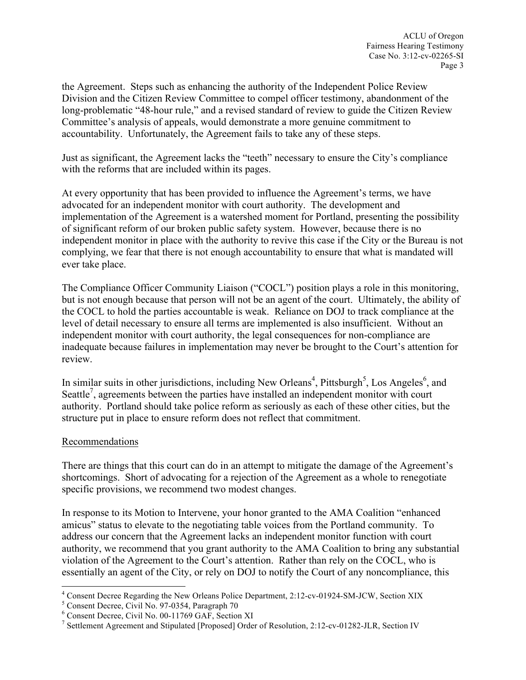the Agreement. Steps such as enhancing the authority of the Independent Police Review Division and the Citizen Review Committee to compel officer testimony, abandonment of the long-problematic "48-hour rule," and a revised standard of review to guide the Citizen Review Committee's analysis of appeals, would demonstrate a more genuine commitment to accountability. Unfortunately, the Agreement fails to take any of these steps.

Just as significant, the Agreement lacks the "teeth" necessary to ensure the City's compliance with the reforms that are included within its pages.

At every opportunity that has been provided to influence the Agreement's terms, we have advocated for an independent monitor with court authority. The development and implementation of the Agreement is a watershed moment for Portland, presenting the possibility of significant reform of our broken public safety system. However, because there is no independent monitor in place with the authority to revive this case if the City or the Bureau is not complying, we fear that there is not enough accountability to ensure that what is mandated will ever take place.

The Compliance Officer Community Liaison ("COCL") position plays a role in this monitoring, but is not enough because that person will not be an agent of the court. Ultimately, the ability of the COCL to hold the parties accountable is weak. Reliance on DOJ to track compliance at the level of detail necessary to ensure all terms are implemented is also insufficient. Without an independent monitor with court authority, the legal consequences for non-compliance are inadequate because failures in implementation may never be brought to the Court's attention for review.

In similar suits in other jurisdictions, including New Orleans<sup>4</sup>, Pittsburgh<sup>5</sup>, Los Angeles<sup>6</sup>, and Seattle<sup>7</sup>, agreements between the parties have installed an independent monitor with court authority. Portland should take police reform as seriously as each of these other cities, but the structure put in place to ensure reform does not reflect that commitment.

## Recommendations

There are things that this court can do in an attempt to mitigate the damage of the Agreement's shortcomings. Short of advocating for a rejection of the Agreement as a whole to renegotiate specific provisions, we recommend two modest changes.

In response to its Motion to Intervene, your honor granted to the AMA Coalition "enhanced amicus" status to elevate to the negotiating table voices from the Portland community. To address our concern that the Agreement lacks an independent monitor function with court authority, we recommend that you grant authority to the AMA Coalition to bring any substantial violation of the Agreement to the Court's attention. Rather than rely on the COCL, who is essentially an agent of the City, or rely on DOJ to notify the Court of any noncompliance, this

<sup>&</sup>lt;sup>4</sup> Consent Decree Regarding the New Orleans Police Department, 2:12-cv-01924-SM-JCW, Section XIX<br>
<sup>5</sup> Consent Decree, Civil No. 97-0354, Paragraph 70<br>
<sup>6</sup> Consent Decree, Civil No. 00-11769 GAF, Section XI<br>
<sup>7</sup> Settlemen